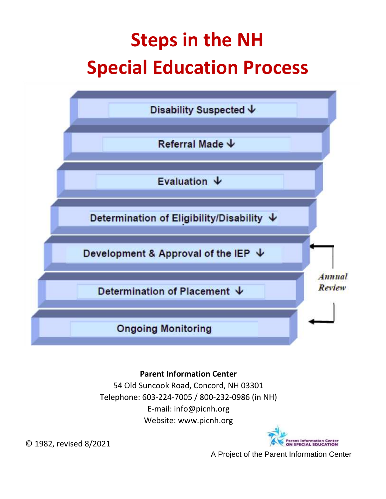# **Steps in the NH Special Education Process**



### **Parent Information Center**

54 Old Suncook Road, Concord, NH 03301 Telephone: 603-224-7005 / 800-232-0986 (in NH) E-mail: info@picnh.org Website: www.picnh.org



© 1982, revised 8/2021

A Project of the Parent Information Center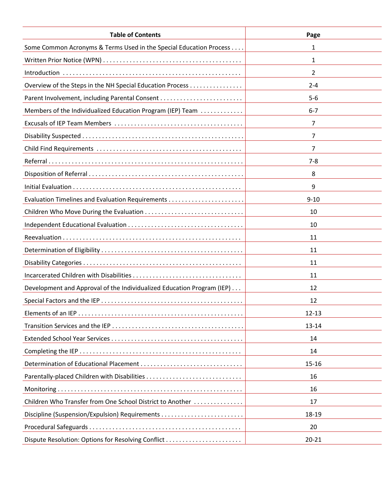| <b>Table of Contents</b>                                               | Page           |
|------------------------------------------------------------------------|----------------|
| Some Common Acronyms & Terms Used in the Special Education Process     | 1              |
|                                                                        | 1              |
|                                                                        | $\overline{2}$ |
| Overview of the Steps in the NH Special Education Process              | $2 - 4$        |
|                                                                        | $5-6$          |
| Members of the Individualized Education Program (IEP) Team             | $6 - 7$        |
|                                                                        | $\overline{7}$ |
|                                                                        | 7              |
|                                                                        | 7              |
|                                                                        | $7 - 8$        |
|                                                                        | 8              |
|                                                                        | 9              |
|                                                                        | $9 - 10$       |
|                                                                        | 10             |
|                                                                        | 10             |
|                                                                        | 11             |
|                                                                        | 11             |
|                                                                        | 11             |
|                                                                        | 11             |
| Development and Approval of the Individualized Education Program (IEP) | 12             |
|                                                                        | 12             |
|                                                                        | $12 - 13$      |
|                                                                        | 13-14          |
|                                                                        | 14             |
|                                                                        | 14             |
|                                                                        | $15 - 16$      |
|                                                                        | 16             |
|                                                                        | 16             |
| Children Who Transfer from One School District to Another              | 17             |
|                                                                        | 18-19          |
|                                                                        | 20             |
| Dispute Resolution: Options for Resolving Conflict                     | $20 - 21$      |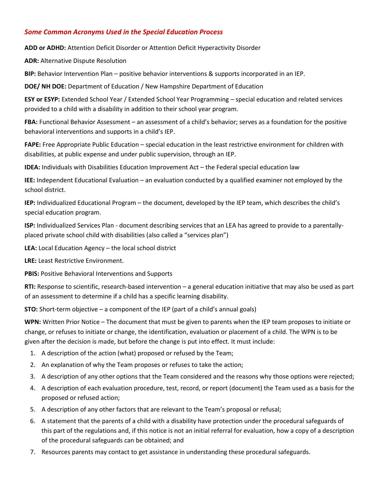#### *Some Common Acronyms Used in the Special Education Process*

**ADD or ADHD:** Attention Deficit Disorder or Attention Deficit Hyperactivity Disorder

**ADR:** Alternative Dispute Resolution

**BIP:** Behavior Intervention Plan – positive behavior interventions & supports incorporated in an IEP.

**DOE/ NH DOE:** Department of Education / New Hampshire Department of Education

**ESY or ESYP:** Extended School Year / Extended School Year Programming – special education and related services provided to a child with a disability in addition to their school year program.

**FBA:** Functional Behavior Assessment – an assessment of a child's behavior; serves as a foundation for the positive behavioral interventions and supports in a child's IEP.

**FAPE:** Free Appropriate Public Education – special education in the least restrictive environment for children with disabilities, at public expense and under public supervision, through an IEP.

**IDEA:** Individuals with Disabilities Education Improvement Act – the Federal special education law

**IEE:** Independent Educational Evaluation – an evaluation conducted by a qualified examiner not employed by the school district.

**IEP:** Individualized Educational Program – the document, developed by the IEP team, which describes the child's special education program.

**ISP:** Individualized Services Plan - document describing services that an LEA has agreed to provide to a parentallyplaced private school child with disabilities (also called a "services plan")

**LEA:** Local Education Agency – the local school district

**LRE:** Least Restrictive Environment.

**PBIS:** Positive Behavioral Interventions and Supports

**RTI:** Response to scientific, research-based intervention – a general education initiative that may also be used as part of an assessment to determine if a child has a specific learning disability.

**STO:** Short-term objective – a component of the IEP (part of a child's annual goals)

**WPN:** Written Prior Notice – The document that must be given to parents when the IEP team proposes to initiate or change, or refuses to initiate or change, the identification, evaluation or placement of a child. The WPN is to be given after the decision is made, but before the change is put into effect. It must include:

- 1. A description of the action (what) proposed or refused by the Team;
- 2. An explanation of why the Team proposes or refuses to take the action;
- 3. A description of any other options that the Team considered and the reasons why those options were rejected;
- 4. A description of each evaluation procedure, test, record, or report (document) the Team used as a basis for the proposed or refused action;
- 5. A description of any other factors that are relevant to the Team's proposal or refusal;
- 6. A statement that the parents of a child with a disability have protection under the procedural safeguards of this part of the regulations and, if this notice is not an initial referral for evaluation, how a copy of a description of the procedural safeguards can be obtained; and
- 7. Resources parents may contact to get assistance in understanding these procedural safeguards.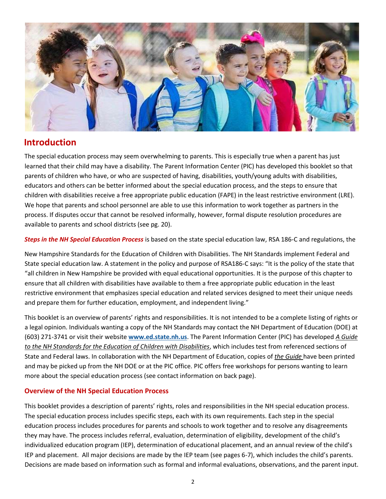

## **Introduction**

The special education process may seem overwhelming to parents. This is especially true when a parent has just learned that their child may have a disability. The Parent Information Center (PIC) has developed this booklet so that parents of children who have, or who are suspected of having, disabilities, youth/young adults with disabilities, educators and others can be better informed about the special education process, and the steps to ensure that children with disabilities receive a free appropriate public education (FAPE) in the least restrictive environment (LRE). We hope that parents and school personnel are able to use this information to work together as partners in the process. If disputes occur that cannot be resolved informally, however, formal dispute resolution procedures are available to parents and school districts (see pg. 20).

*Steps in the NH Special Education Process* is based on the state special education law, RSA 186-C and regulations, the

New Hampshire Standards for the Education of Children with Disabilities. The NH Standards implement Federal and State special education law. A statement in the policy and purpose of RSA186-C says: "It is the policy of the state that "all children in New Hampshire be provided with equal educational opportunities. It is the purpose of this chapter to ensure that all children with disabilities have available to them a free appropriate public education in the least restrictive environment that emphasizes special education and related services designed to meet their unique needs and prepare them for further education, employment, and independent living."

This booklet is an overview of parents' rights and responsibilities. It is not intended to be a complete listing of rights or a legal opinion. Individuals wanting a copy of the NH Standards may contact the NH Department of Education (DOE) at (603) 271-3741 or visit their website **[www.ed.state.nh.us](http://www.ed.state.nh.us/)**[. T](http://www.ed.state.nh.us/)he Parent Information Center (PIC) has developed *A Guide to the NH Standards for the Education of Children with Disabilities*, which includes test from referenced sections of State and Federal laws. In collaboration with the NH Department of Education, copies of *the Guide* have been printed and may be picked up from the NH DOE or at the PIC office. PIC offers free workshops for persons wanting to learn more about the special education process (see contact information on back page).

#### **Overview of the NH Special Education Process**

This booklet provides a description of parents' rights, roles and responsibilities in the NH special education process. The special education process includes specific steps, each with its own requirements. Each step in the special education process includes procedures for parents and schools to work together and to resolve any disagreements they may have. The process includes referral, evaluation, determination of eligibility, development of the child's individualized education program (IEP), determination of educational placement, and an annual review of the child's IEP and placement. All major decisions are made by the IEP team (see pages 6-7), which includes the child's parents. Decisions are made based on information such as formal and informal evaluations, observations, and the parent input.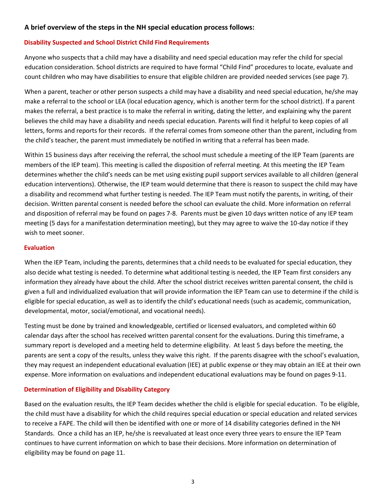#### **A brief overview of the steps in the NH special education process follows:**

#### **Disability Suspected and School District Child Find Requirements**

Anyone who suspects that a child may have a disability and need special education may refer the child for special education consideration. School districts are required to have formal "Child Find" procedures to locate, evaluate and count children who may have disabilities to ensure that eligible children are provided needed services (see page 7).

When a parent, teacher or other person suspects a child may have a disability and need special education, he/she may make a referral to the school or LEA (local education agency, which is another term for the school district). If a parent makes the referral, a best practice is to make the referral in writing, dating the letter, and explaining why the parent believes the child may have a disability and needs special education. Parents will find it helpful to keep copies of all letters, forms and reports for their records. If the referral comes from someone other than the parent, including from the child's teacher, the parent must immediately be notified in writing that a referral has been made.

Within 15 business days after receiving the referral, the school must schedule a meeting of the IEP Team (parents are members of the IEP team). This meeting is called the disposition of referral meeting. At this meeting the IEP Team determines whether the child's needs can be met using existing pupil support services available to all children (general education interventions). Otherwise, the IEP team would determine that there is reason to suspect the child may have a disability and recommend what further testing is needed. The IEP Team must notify the parents, in writing, of their decision. Written parental consent is needed before the school can evaluate the child. More information on referral and disposition of referral may be found on pages 7-8. Parents must be given 10 days written notice of any IEP team meeting (5 days for a manifestation determination meeting), but they may agree to waive the 10-day notice if they wish to meet sooner.

#### **Evaluation**

When the IEP Team, including the parents, determines that a child needs to be evaluated for special education, they also decide what testing is needed. To determine what additional testing is needed, the IEP Team first considers any information they already have about the child. After the school district receives written parental consent, the child is given a full and individualized evaluation that will provide information the IEP Team can use to determine if the child is eligible for special education, as well as to identify the child's educational needs (such as academic, communication, developmental, motor, social/emotional, and vocational needs).

Testing must be done by trained and knowledgeable, certified or licensed evaluators, and completed within 60 calendar days after the school has received written parental consent for the evaluations. During this timeframe, a summary report is developed and a meeting held to determine eligibility. At least 5 days before the meeting, the parents are sent a copy of the results, unless they waive this right. If the parents disagree with the school's evaluation, they may request an independent educational evaluation (IEE) at public expense or they may obtain an IEE at their own expense. More information on evaluations and independent educational evaluations may be found on pages 9-11.

#### **Determination of Eligibility and Disability Category**

Based on the evaluation results, the IEP Team decides whether the child is eligible for special education. To be eligible, the child must have a disability for which the child requires special education or special education and related services to receive a FAPE. The child will then be identified with one or more of 14 disability categories defined in the NH Standards. Once a child has an IEP, he/she is reevaluated at least once every three years to ensure the IEP Team continues to have current information on which to base their decisions. More information on determination of eligibility may be found on page 11.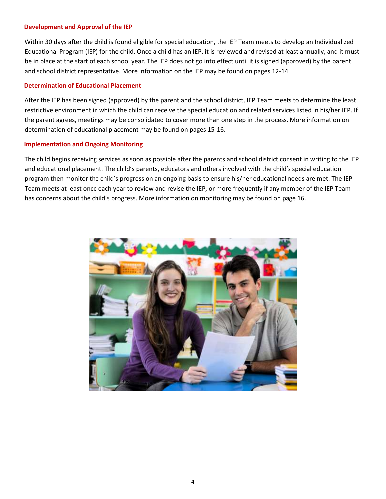#### **Development and Approval of the IEP**

Within 30 days after the child is found eligible for special education, the IEP Team meets to develop an Individualized Educational Program (IEP) for the child. Once a child has an IEP, it is reviewed and revised at least annually, and it must be in place at the start of each school year. The IEP does not go into effect until it is signed (approved) by the parent and school district representative. More information on the IEP may be found on pages 12-14.

#### **Determination of Educational Placement**

After the IEP has been signed (approved) by the parent and the school district, IEP Team meets to determine the least restrictive environment in which the child can receive the special education and related services listed in his/her IEP. If the parent agrees, meetings may be consolidated to cover more than one step in the process. More information on determination of educational placement may be found on pages 15-16.

#### **Implementation and Ongoing Monitoring**

The child begins receiving services as soon as possible after the parents and school district consent in writing to the IEP and educational placement. The child's parents, educators and others involved with the child's special education program then monitor the child's progress on an ongoing basis to ensure his/her educational needs are met. The IEP Team meets at least once each year to review and revise the IEP, or more frequently if any member of the IEP Team has concerns about the child's progress. More information on monitoring may be found on page 16.

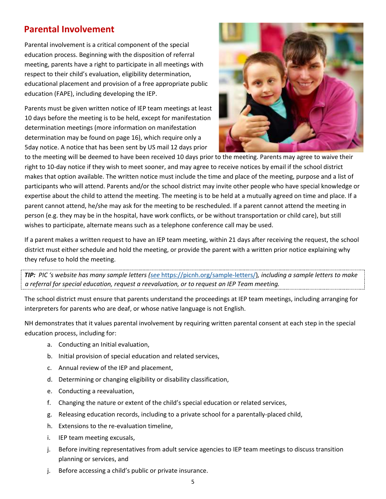## **Parental Involvement**

Parental involvement is a critical component of the special education process. Beginning with the disposition of referral meeting, parents have a right to participate in all meetings with respect to their child's evaluation, eligibility determination, educational placement and provision of a free appropriate public education (FAPE), including developing the IEP.

Parents must be given written notice of IEP team meetings at least 10 days before the meeting is to be held, except for manifestation determination meetings (more information on manifestation determination may be found on page 16), which require only a 5day notice. A notice that has been sent by US mail 12 days prior



to the meeting will be deemed to have been received 10 days prior to the meeting. Parents may agree to waive their right to 10-day notice if they wish to meet sooner, and may agree to receive notices by email if the school district makes that option available. The written notice must include the time and place of the meeting, purpose and a list of participants who will attend. Parents and/or the school district may invite other people who have special knowledge or expertise about the child to attend the meeting. The meeting is to be held at a mutually agreed on time and place. If a parent cannot attend, he/she may ask for the meeting to be rescheduled. If a parent cannot attend the meeting in person (e.g. they may be in the hospital, have work conflicts, or be without transportation or child care), but still wishes to participate, alternate means such as a telephone conference call may be used.

If a parent makes a written request to have an IEP team meeting, within 21 days after receiving the request, the school district must either schedule and hold the meeting, or provide the parent with a written prior notice explaining why they refuse to hold the meeting.

*TIP: PIC 's website has many sample letters ([see](https://picnh.org/sample-letters/)* [https://picnh.org/sample-letters/\)](https://picnh.org/sample-letters/)*, including a sample letters to make a referral for special education, request a reevaluation, or to request an IEP Team meeting.*

The school district must ensure that parents understand the proceedings at IEP team meetings, including arranging for interpreters for parents who are deaf, or whose native language is not English.

NH demonstrates that it values parental involvement by requiring written parental consent at each step in the special education process, including for:

- a. Conducting an Initial evaluation,
- b. Initial provision of special education and related services,
- c. Annual review of the IEP and placement,
- d. Determining or changing eligibility or disability classification,
- e. Conducting a reevaluation,
- f. Changing the nature or extent of the child's special education or related services,
- g. Releasing education records, including to a private school for a parentally-placed child,
- h. Extensions to the re-evaluation timeline,
- i. IEP team meeting excusals,
- j. Before inviting representatives from adult service agencies to IEP team meetings to discuss transition planning or services, and
- j. Before accessing a child's public or private insurance.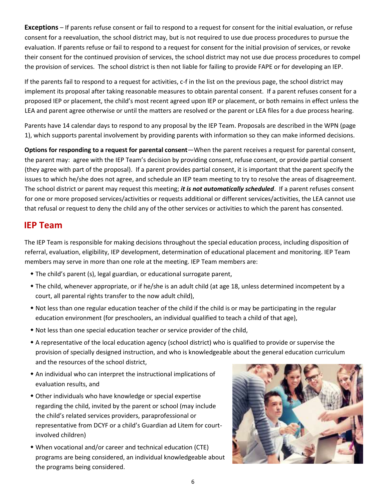**Exceptions** – If parents refuse consent or fail to respond to a request for consent for the initial evaluation, or refuse consent for a reevaluation, the school district may, but is not required to use due process procedures to pursue the evaluation. If parents refuse or fail to respond to a request for consent for the initial provision of services, or revoke their consent for the continued provision of services, the school district may not use due process procedures to compel the provision of services. The school district is then not liable for failing to provide FAPE or for developing an IEP.

If the parents fail to respond to a request for activities, c-f in the list on the previous page, the school district may implement its proposal after taking reasonable measures to obtain parental consent. If a parent refuses consent for a proposed IEP or placement, the child's most recent agreed upon IEP or placement, or both remains in effect unless the LEA and parent agree otherwise or until the matters are resolved or the parent or LEA files for a due process hearing.

Parents have 14 calendar days to respond to any proposal by the IEP Team. Proposals are described in the WPN (page 1), which supports parental involvement by providing parents with information so they can make informed decisions.

**Options for responding to a request for parental consent**—When the parent receives a request for parental consent, the parent may: agree with the IEP Team's decision by providing consent, refuse consent, or provide partial consent (they agree with part of the proposal). If a parent provides partial consent, it is important that the parent specify the issues to which he/she does not agree, and schedule an IEP team meeting to try to resolve the areas of disagreement. The school district or parent may request this meeting; *it is not automatically scheduled*. If a parent refuses consent for one or more proposed services/activities or requests additional or different services/activities, the LEA cannot use that refusal or request to deny the child any of the other services or activities to which the parent has consented.

## **IEP Team**

The IEP Team is responsible for making decisions throughout the special education process, including disposition of referral, evaluation, eligibility, IEP development, determination of educational placement and monitoring. IEP Team members may serve in more than one role at the meeting. IEP Team members are:

- The child's parent (s), legal guardian, or educational surrogate parent,
- The child, whenever appropriate, or if he/she is an adult child (at age 18, unless determined incompetent by a court, all parental rights transfer to the now adult child),
- Not less than one regular education teacher of the child if the child is or may be participating in the regular education environment (for preschoolers, an individual qualified to teach a child of that age),
- Not less than one special education teacher or service provider of the child,
- A representative of the local education agency (school district) who is qualified to provide or supervise the provision of specially designed instruction, and who is knowledgeable about the general education curriculum and the resources of the school district,
- An individual who can interpret the instructional implications of evaluation results, and
- Other individuals who have knowledge or special expertise regarding the child, invited by the parent or school (may include the child's related services providers, paraprofessional or representative from DCYF or a child's Guardian ad Litem for courtinvolved children)
- When vocational and/or career and technical education (CTE) programs are being considered, an individual knowledgeable about the programs being considered.

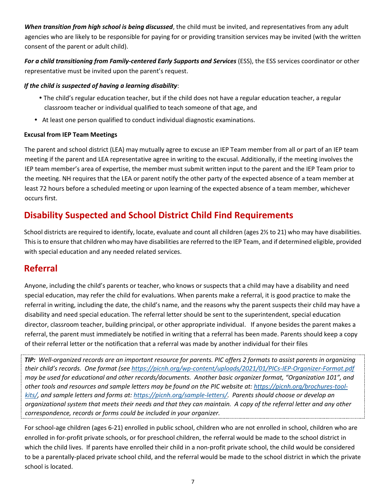*When transition from high school is being discussed*, the child must be invited, and representatives from any adult agencies who are likely to be responsible for paying for or providing transition services may be invited (with the written consent of the parent or adult child).

*For a child transitioning from Family-centered Early Supports and Services* (ESS), the ESS services coordinator or other representative must be invited upon the parent's request.

#### *If the child is suspected of having a learning disability*:

- The child's regular education teacher, but if the child does not have a regular education teacher, a regular classroom teacher or individual qualified to teach someone of that age, and
- At least one person qualified to conduct individual diagnostic examinations.

#### **Excusal from IEP Team Meetings**

The parent and school district (LEA) may mutually agree to excuse an IEP Team member from all or part of an IEP team meeting if the parent and LEA representative agree in writing to the excusal. Additionally, if the meeting involves the IEP team member's area of expertise, the member must submit written input to the parent and the IEP Team prior to the meeting. NH requires that the LEA or parent notify the other party of the expected absence of a team member at least 72 hours before a scheduled meeting or upon learning of the expected absence of a team member, whichever occurs first.

# **Disability Suspected and School District Child Find Requirements**

School districts are required to identify, locate, evaluate and count all children (ages 2½ to 21) who may have disabilities. This is to ensure that children who may have disabilities are referred to the IEP Team, and if determined eligible, provided with special education and any needed related services.

## **Referral**

Anyone, including the child's parents or teacher, who knows or suspects that a child may have a disability and need special education, may refer the child for evaluations. When parents make a referral, it is good practice to make the referral in writing, including the date, the child's name, and the reasons why the parent suspects their child may have a disability and need special education. The referral letter should be sent to the superintendent, special education director, classroom teacher, building principal, or other appropriate individual. If anyone besides the parent makes a referral, the parent must immediately be notified in writing that a referral has been made. Parents should keep a copy of their referral letter or the notification that a referral was made by another individual for their files

*TIP: Well-organized records are an important resource for parents. PIC offers 2 formats to assist parents in organizing their child's records. One format (see <https://picnh.org/wp-content/uploads/2021/01/PICs-IEP-Organizer-Format.pdf> may be used for educational and other records/documents. Another basic organizer format, "Organization 101", and other tools and resources and sample letters may be found on the PIC website at[: https://picnh.org/brochures-tool](https://picnh.org/brochures-tool-kits/)[kits/,](https://picnh.org/brochures-tool-kits/) and sample letters and forms at: [https://picnh.org/sample-letters/.](https://picnh.org/sample-letters/) Parents should choose or develop an organizational system that meets their needs and that they can maintain. A copy of the referral letter and any other correspondence, records or forms could be included in your organizer.* 

For school-age children (ages 6-21) enrolled in public school, children who are not enrolled in school, children who are enrolled in for-profit private schools, or for preschool children, the referral would be made to the school district in which the child lives. If parents have enrolled their child in a non-profit private school, the child would be considered to be a parentally-placed private school child, and the referral would be made to the school district in which the private school is located.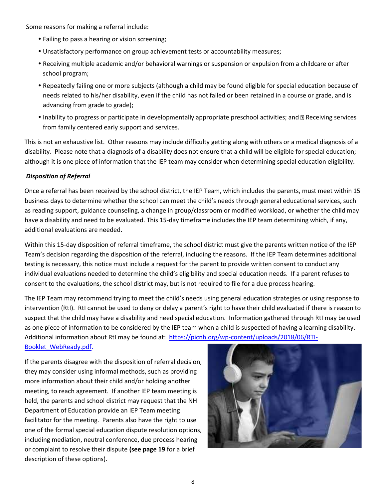Some reasons for making a referral include:

- Failing to pass a hearing or vision screening;
- Unsatisfactory performance on group achievement tests or accountability measures;
- Receiving multiple academic and/or behavioral warnings or suspension or expulsion from a childcare or after school program;
- Repeatedly failing one or more subjects (although a child may be found eligible for special education because of needs related to his/her disability, even if the child has not failed or been retained in a course or grade, and is advancing from grade to grade);
- Inability to progress or participate in developmentally appropriate preschool activities; and **Receiving services** from family centered early support and services.

This is not an exhaustive list. Other reasons may include difficulty getting along with others or a medical diagnosis of a disability. Please note that a diagnosis of a disability does not ensure that a child will be eligible for special education; although it is one piece of information that the IEP team may consider when determining special education eligibility.

#### *Disposition of Referral*

Once a referral has been received by the school district, the IEP Team, which includes the parents, must meet within 15 business days to determine whether the school can meet the child's needs through general educational services, such as reading support, guidance counseling, a change in group/classroom or modified workload, or whether the child may have a disability and need to be evaluated. This 15-day timeframe includes the IEP team determining which, if any, additional evaluations are needed.

Within this 15-day disposition of referral timeframe, the school district must give the parents written notice of the IEP Team's decision regarding the disposition of the referral, including the reasons. If the IEP Team determines additional testing is necessary, this notice must include a request for the parent to provide written consent to conduct any individual evaluations needed to determine the child's eligibility and special education needs. If a parent refuses to consent to the evaluations, the school district may, but is not required to file for a due process hearing.

The IEP Team may recommend trying to meet the child's needs using general education strategies or using response to intervention (RtI). RtI cannot be used to deny or delay a parent's right to have their child evaluated if there is reason to suspect that the child may have a disability and need special education. Information gathered through RtI may be used as one piece of information to be considered by the IEP team when a child is suspected of having a learning disability. Additional information about RtI may be found at: [https://picnh.org/wp-content/uploads/2018/06/RTI-](https://picnh.org/wp-content/uploads/2018/06/RTI-Booklet_Web-Ready.pdf)

[Booklet\\_WebReady.pdf.](https://picnh.org/wp-content/uploads/2018/06/RTI-Booklet_Web-Ready.pdf)

If the parents disagree with the disposition of referral decision, they may consider using informal methods, such as providing more information about their child and/or holding another meeting, to reach agreement. If another IEP team meeting is held, the parents and school district may request that the NH Department of Education provide an IEP Team meeting facilitator for the meeting. Parents also have the right to use one of the formal special education dispute resolution options, including mediation, neutral conference, due process hearing or complaint to resolve their dispute **(see page 19** for a brief description of these options).

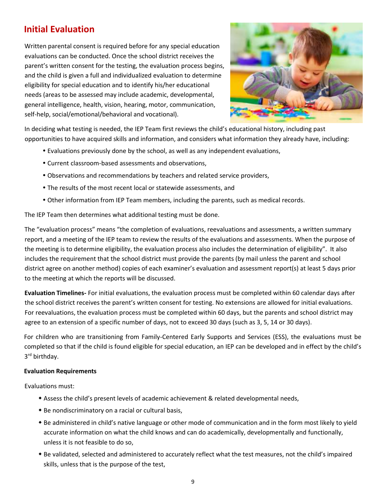## **Initial Evaluation**

Written parental consent is required before for any special education evaluations can be conducted. Once the school district receives the parent's written consent for the testing, the evaluation process begins, and the child is given a full and individualized evaluation to determine eligibility for special education and to identify his/her educational needs (areas to be assessed may include academic, developmental, general intelligence, health, vision, hearing, motor, communication, self-help, social/emotional/behavioral and vocational).



In deciding what testing is needed, the IEP Team first reviews the child's educational history, including past opportunities to have acquired skills and information, and considers what information they already have, including:

- Evaluations previously done by the school, as well as any independent evaluations,
- Current classroom-based assessments and observations,
- Observations and recommendations by teachers and related service providers,
- The results of the most recent local or statewide assessments, and
- Other information from IEP Team members, including the parents, such as medical records.

The IEP Team then determines what additional testing must be done.

The "evaluation process" means "the completion of evaluations, reevaluations and assessments, a written summary report, and a meeting of the IEP team to review the results of the evaluations and assessments. When the purpose of the meeting is to determine eligibility, the evaluation process also includes the determination of eligibility". It also includes the requirement that the school district must provide the parents (by mail unless the parent and school district agree on another method) copies of each examiner's evaluation and assessment report(s) at least 5 days prior to the meeting at which the reports will be discussed.

**Evaluation Timelines-** For initial evaluations, the evaluation process must be completed within 60 calendar days after the school district receives the parent's written consent for testing. No extensions are allowed for initial evaluations. For reevaluations, the evaluation process must be completed within 60 days, but the parents and school district may agree to an extension of a specific number of days, not to exceed 30 days (such as 3, 5, 14 or 30 days).

For children who are transitioning from Family-Centered Early Supports and Services (ESS), the evaluations must be completed so that if the child is found eligible for special education, an IEP can be developed and in effect by the child's 3 rd birthday.

#### **Evaluation Requirements**

Evaluations must:

- Assess the child's present levels of academic achievement & related developmental needs,
- Be nondiscriminatory on a racial or cultural basis,
- Be administered in child's native language or other mode of communication and in the form most likely to yield accurate information on what the child knows and can do academically, developmentally and functionally, unless it is not feasible to do so,
- Be validated, selected and administered to accurately reflect what the test measures, not the child's impaired skills, unless that is the purpose of the test,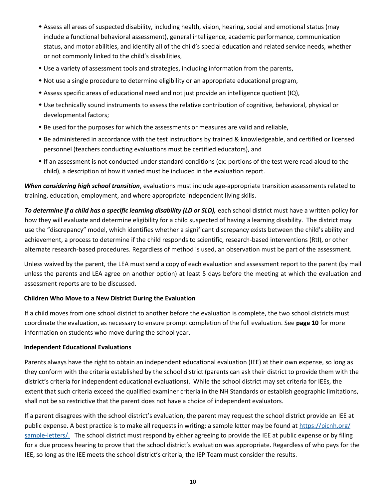- Assess all areas of suspected disability, including health, vision, hearing, social and emotional status (may include a functional behavioral assessment), general intelligence, academic performance, communication status, and motor abilities, and identify all of the child's special education and related service needs, whether or not commonly linked to the child's disabilities,
- Use a variety of assessment tools and strategies, including information from the parents,
- Not use a single procedure to determine eligibility or an appropriate educational program,
- Assess specific areas of educational need and not just provide an intelligence quotient (IQ),
- Use technically sound instruments to assess the relative contribution of cognitive, behavioral, physical or developmental factors;
- Be used for the purposes for which the assessments or measures are valid and reliable,
- Be administered in accordance with the test instructions by trained & knowledgeable, and certified or licensed personnel (teachers conducting evaluations must be certified educators), and
- If an assessment is not conducted under standard conditions (ex: portions of the test were read aloud to the child), a description of how it varied must be included in the evaluation report.

*When considering high school transition*, evaluations must include age-appropriate transition assessments related to training, education, employment, and where appropriate independent living skills.

To determine if a child has a specific learning disability (LD or SLD), each school district must have a written policy for how they will evaluate and determine eligibility for a child suspected of having a learning disability. The district may use the "discrepancy" model, which identifies whether a significant discrepancy exists between the child's ability and achievement, a process to determine if the child responds to scientific, research-based interventions (RtI), or other alternate research-based procedures. Regardless of method is used, an observation must be part of the assessment.

Unless waived by the parent, the LEA must send a copy of each evaluation and assessment report to the parent (by mail unless the parents and LEA agree on another option) at least 5 days before the meeting at which the evaluation and assessment reports are to be discussed.

#### **Children Who Move to a New District During the Evaluation**

If a child moves from one school district to another before the evaluation is complete, the two school districts must coordinate the evaluation, as necessary to ensure prompt completion of the full evaluation. See **page 10** for more information on students who move during the school year.

#### **Independent Educational Evaluations**

Parents always have the right to obtain an independent educational evaluation (IEE) at their own expense, so long as they conform with the criteria established by the school district (parents can ask their district to provide them with the district's criteria for independent educational evaluations). While the school district may set criteria for IEEs, the extent that such criteria exceed the qualified examiner criteria in the NH Standards or establish geographic limitations, shall not be so restrictive that the parent does not have a choice of independent evaluators.

If a parent disagrees with the school district's evaluation, the parent may request the school district provide an IEE at public expense. A best practice is to make all requests in writing; a sample letter may be found at https://picnh.org/ [sample-letters/.](https://picnh.org/sample-letters/) The school district must respond by either agreeing to provide the IEE at public expense or by filing for a due process hearing to prove that the school district's evaluation was appropriate. Regardless of who pays for the IEE, so long as the IEE meets the school district's criteria, the IEP Team must consider the results.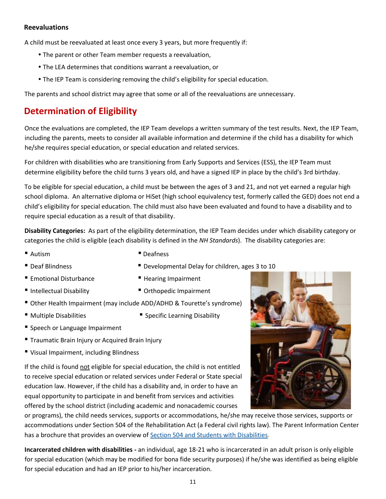#### **Reevaluations**

A child must be reevaluated at least once every 3 years, but more frequently if:

- The parent or other Team member requests a reevaluation,
- The LEA determines that conditions warrant a reevaluation, or
- The IEP Team is considering removing the child's eligibility for special education.

The parents and school district may agree that some or all of the reevaluations are unnecessary.

## **Determination of Eligibility**

Once the evaluations are completed, the IEP Team develops a written summary of the test results. Next, the IEP Team, including the parents, meets to consider all available information and determine if the child has a disability for which he/she requires special education, or special education and related services.

For children with disabilities who are transitioning from Early Supports and Services (ESS), the IEP Team must determine eligibility before the child turns 3 years old, and have a signed IEP in place by the child's 3rd birthday.

To be eligible for special education, a child must be between the ages of 3 and 21, and not yet earned a regular high school diploma. An alternative diploma or HiSet (high school equivalency test, formerly called the GED) does not end a child's eligibility for special education. The child must also have been evaluated and found to have a disability and to require special education as a result of that disability.

**Disability Categories:** As part of the eligibility determination, the IEP Team decides under which disability category or categories the child is eligible (each disability is defined in the *NH Standards*). The disability categories are:

- Autism Peafness
- Deaf Blindness Developmental Delay for children, ages 3 to 10
- Emotional Disturbance Hearing Impairment
- Intellectual Disability Orthopedic Impairment
- -
- Other Health Impairment (may include ADD/ADHD & Tourette's syndrome)
- 
- Multiple Disabilities Specific Learning Disability
- **E** Speech or Language Impairment
- **Traumatic Brain Injury or Acquired Brain Injury**
- Visual Impairment, including Blindness

If the child is found not eligible for special education, the child is not entitled to receive special education or related services under Federal or State special education law. However, if the child has a disability and, in order to have an equal opportunity to participate in and benefit from services and activities offered by the school district (including academic and nonacademic courses

or programs), the child needs services, supports or accommodations, he/she may receive those services, supports or accommodations under Section 504 of the Rehabilitation Act (a Federal civil rights law). The Parent Information Center has a brochure that provides an overview of Section 504 and Students with Disabilities.

**Incarcerated children with disabilities -** an individual, age 18-21 who is incarcerated in an adult prison is only eligible for special education (which may be modified for bona fide security purposes) if he/she was identified as being eligible for special education and had an IEP prior to his/her incarceration.

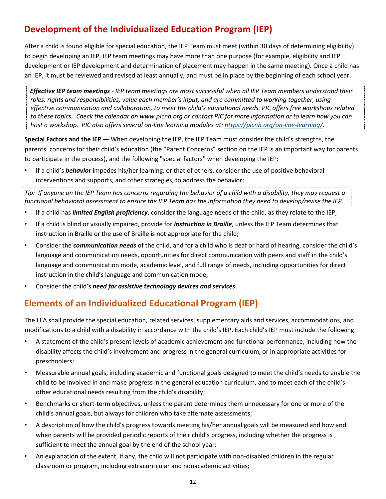# **Development of the Individualized Education Program (IEP)**

After a child is found eligible for special education, the IEP Team must meet (within 30 days of determining eligibility) to begin developing an IEP. IEP team meetings may have more than one purpose (for example, eligibility and IEP development or IEP development and determination of placement may happen in the same meeting). Once a child has an IEP, it must be reviewed and revised at least annually, and must be in place by the beginning of each school year.

*Effective IEP team meetings - IEP team meetings are most successful when all IEP Team members understand their roles, rights and responsibilities, value each member's input, and are committed to working together, using effective communication and collaboration, to meet the child's educational needs. PIC offers free workshops related to these topics. Check the calendar on www.picnh.org or contact PIC for more information or to learn how you can host a workshop. PIC also offers several on-line learning modules at: [https://picnh.org/on-line-learning/.](https://picnh.org/on-line-learning/)*

**Special Factors and the IEP —** When developing the IEP, the IEP Team must consider the child's strengths, the parents' concerns for their child's education (the "Parent Concerns" section on the IEP is an important way for parents to participate in the process), and the following "special factors" when developing the IEP:

• If a child's *behavior* impedes his/her learning, or that of others, consider the use of positive behavioral interventions and supports, and other strategies, to address the behavior;

*Tip: If anyone on the IEP Team has concerns regarding the behavior of a child with a disability, they may request a functional behavioral assessment to ensure the IEP Team has the information they need to develop/revise the IEP.*

- If a child has *limited English proficiency*, consider the language needs of the child, as they relate to the IEP;
- If a child is blind or visually impaired, provide for *instruction in Braille*, unless the IEP Team determines that instruction in Braille or the use of Braille is not appropriate for the child;
- Consider the *communication needs* of the child, and for a child who is deaf or hard of hearing, consider the child's language and communication needs, opportunities for direct communication with peers and staff in the child's language and communication mode, academic level, and full range of needs, including opportunities for direct instruction in the child's language and communication mode;
- Consider the child's *need for assistive technology devices and services*.

## **Elements of an Individualized Educational Program (IEP)**

The LEA shall provide the special education, related services, supplementary aids and services, accommodations, and modifications to a child with a disability in accordance with the child's IEP. Each child's IEP must include the following:

- A statement of the child's present levels of academic achievement and functional performance, including how the disability affects the child's involvement and progress in the general curriculum, or in appropriate activities for preschoolers;
- Measurable annual goals, including academic and functional goals designed to meet the child's needs to enable the child to be involved in and make progress in the general education curriculum, and to meet each of the child's other educational needs resulting from the child's disability;
- Benchmarks or short-term objectives, unless the parent determines them unnecessary for one or more of the child's annual goals, but always for children who take alternate assessments;
- A description of how the child's progress towards meeting his/her annual goals will be measured and how and when parents will be provided periodic reports of their child's progress, including whether the progress is sufficient to meet the annual goal by the end of the school year;
- An explanation of the extent, if any, the child will not participate with non-disabled children in the regular classroom or program, including extracurricular and nonacademic activities;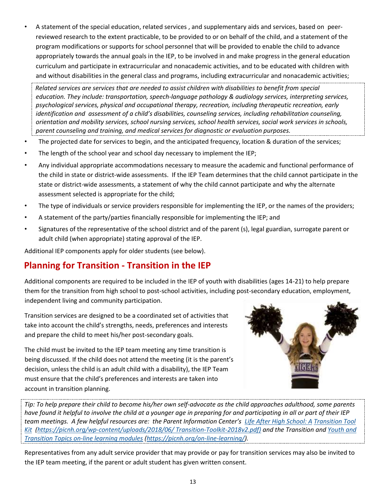• A statement of the special education, related services , and supplementary aids and services, based on peerreviewed research to the extent practicable, to be provided to or on behalf of the child, and a statement of the program modifications or supports for school personnel that will be provided to enable the child to advance appropriately towards the annual goals in the IEP, to be involved in and make progress in the general education curriculum and participate in extracurricular and nonacademic activities, and to be educated with children with and without disabilities in the general class and programs, including extracurricular and nonacademic activities;

*Related services are services that are needed to assist children with disabilities to benefit from special education. They include: transportation, speech-language pathology & audiology services, interpreting services, psychological services, physical and occupational therapy, recreation, including therapeutic recreation, early identification and assessment of a child's disabilities, counseling services, including rehabilitation counseling, orientation and mobility services, school nursing services, school health services, social work services in schools, parent counseling and training, and medical services for diagnostic or evaluation purposes.*

- The projected date for services to begin, and the anticipated frequency, location & duration of the services;
- The length of the school year and school day necessary to implement the IEP;
- Any individual appropriate accommodations necessary to measure the academic and functional performance of the child in state or district-wide assessments. If the IEP Team determines that the child cannot participate in the state or district-wide assessments, a statement of why the child cannot participate and why the alternate assessment selected is appropriate for the child;
- The type of individuals or service providers responsible for implementing the IEP, or the names of the providers;
- A statement of the party/parties financially responsible for implementing the IEP; and
- Signatures of the representative of the school district and of the parent (s), legal guardian, surrogate parent or adult child (when appropriate) stating approval of the IEP.

Additional IEP components apply for older students (see below).

## **Planning for Transition - Transition in the IEP**

Additional components are required to be included in the IEP of youth with disabilities (ages 14-21) to help prepare them for the transition from high school to post-school activities, including post-secondary education, employment, independent living and community participation.

Transition services are designed to be a coordinated set of activities that take into account the child's strengths, needs, preferences and interests and prepare the child to meet his/her post-secondary goals.

The child must be invited to the IEP team meeting any time transition is being discussed. If the child does not attend the meeting (it is the parent's decision, unless the child is an adult child with a disability), the IEP Team must ensure that the child's preferences and interests are taken into account in transition planning.



*Tip: To help prepare their child to become his/her own self-advocate as the child approaches adulthood, some parents have found it helpful to involve the child at a younger age in preparing for and participating in all or part of their IEP team meetings. A few helpful resources are: the Parent Information Center's [Life After High School: A](https://picnh.org/wp-content/uploads/2018/06/Transition-Toolkit-2018v2.pdf) [Transition Tool](https://picnh.org/wp-content/uploads/2018/06/Transition-Toolkit-2018v2.pdf)  [Kit \(https://picnh.org/wp-content/uploads/2018/06/ Transition-Toolkit-2018v2.pdf\)](https://picnh.org/wp-content/uploads/2018/06/Transition-Toolkit-2018v2.pdf) and the Transition and [Youth and](https://picnh.org/on-line-learning/)  [Transition Topics on-line learning modules](https://picnh.org/on-line-learning/) [\(https://picnh.org/on-line-learning/\).](https://picnh.org/on-line-learning/)* 

Representatives from any adult service provider that may provide or pay for transition services may also be invited to the IEP team meeting, if the parent or adult student has given written consent.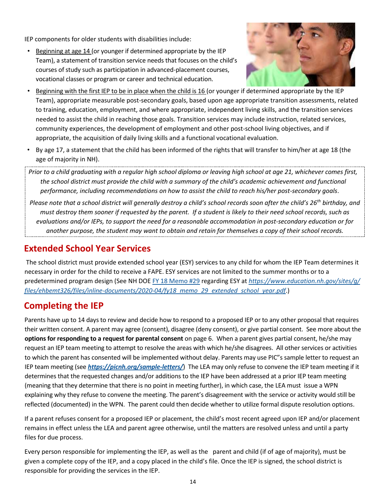IEP components for older students with disabilities include:

• Beginning at age 14 (or younger if determined appropriate by the IEP Team), a statement of transition service needs that focuses on the child's courses of study such as participation in advanced-placement courses, vocational classes or program or career and technical education.



- Beginning with the first IEP to be in place when the child is 16 (or younger if determined appropriate by the IEP Team), appropriate measurable post-secondary goals, based upon age appropriate transition assessments, related to training, education, employment, and where appropriate, independent living skills, and the transition services needed to assist the child in reaching those goals. Transition services may include instruction, related services, community experiences, the development of employment and other post-school living objectives, and if appropriate, the acquisition of daily living skills and a functional vocational evaluation.
- By age 17, a statement that the child has been informed of the rights that will transfer to him/her at age 18 (the age of majority in NH).
- *Prior to a child graduating with a regular high school diploma or leaving high school at age 21, whichever comes first, the school district must provide the child with a summary of the child's academic achievement and functional performance, including recommendations on how to assist the child to reach his/her post-secondary goals*.

*Please note that a school district will generally destroy a child's school records soon after the child's 26th birthday, and must destroy them sooner if requested by the parent. If a student is likely to their need school records, such as evaluations and/or IEPs, to support the need for a reasonable accommodation in post-secondary education or for another purpose, the student may want to obtain and retain for themselves a copy of their school records.*

## **Extended School Year Services**

The school district must provide extended school year (ESY) services to any child for whom the IEP Team determines it necessary in order for the child to receive a FAPE. ESY services are not limited to the summer months or to a predetermined program design (See NH DO[E FY 18 Memo #29](https://www.education.nh.gov/sites/g/files/ehbemt326/files/inline-documents/2020-04/fy18_memo_29_extended_school_year.pdf) [r](https://www.education.nh.gov/sites/g/files/ehbemt326/files/inline-documents/2020-04/fy18_memo_29_extended_school_year.pdf)egarding ESY at *[https://www.education.nh.gov/sites/g/](https://www.education.nh.gov/sites/g/files/ehbemt326/files/inline-documents/2020-04/fy18_memo_29_extended_school_year.pdf)  [files/ehbemt326/files/inline-documents/2020-04/fy18\\_memo\\_29\\_extended\\_school\\_year.pdf](https://www.education.nh.gov/sites/g/files/ehbemt326/files/inline-documents/2020-04/fy18_memo_29_extended_school_year.pdf)*[.\)](https://www.education.nh.gov/sites/g/files/ehbemt326/files/inline-documents/2020-04/fy18_memo_29_extended_school_year.pdf)

## **Completing the IEP**

Parents have up to 14 days to review and decide how to respond to a proposed IEP or to any other proposal that requires their written consent. A parent may agree (consent), disagree (deny consent), or give partial consent. See more about the **options for responding to a request for parental consent** on page 6. When a parent gives partial consent, he/she may request an IEP team meeting to attempt to resolve the areas with which he/she disagrees. All other services or activities to which the parent has consented will be implemented without delay. Parents may use PIC"s sample letter to request an IEP team meeting (see *<https://picnh.org/sample-letters/>*[\)](https://picnh.org/sample-letters/) The LEA may only refuse to convene the IEP team meeting if it determines that the requested changes and/or additions to the IEP have been addressed at a prior IEP team meeting (meaning that they determine that there is no point in meeting further), in which case, the LEA must issue a WPN explaining why they refuse to convene the meeting. The parent's disagreement with the service or activity would still be reflected (documented) in the WPN. The parent could then decide whether to utilize formal dispute resolution options.

If a parent refuses consent for a proposed IEP or placement, the child's most recent agreed upon IEP and/or placement remains in effect unless the LEA and parent agree otherwise, until the matters are resolved unless and until a party files for due process.

Every person responsible for implementing the IEP, as well as the parent and child (if of age of majority), must be given a complete copy of the IEP, and a copy placed in the child's file. Once the IEP is signed, the school district is responsible for providing the services in the IEP.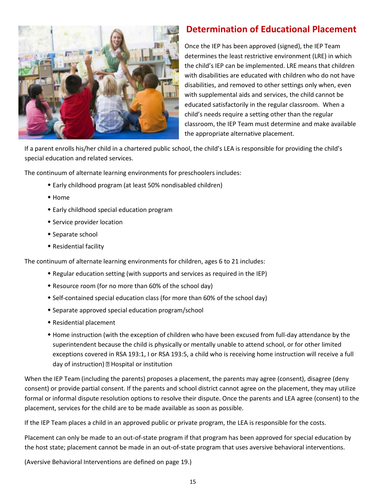

## **Determination of Educational Placement**

Once the IEP has been approved (signed), the IEP Team determines the least restrictive environment (LRE) in which the child's IEP can be implemented. LRE means that children with disabilities are educated with children who do not have disabilities, and removed to other settings only when, even with supplemental aids and services, the child cannot be educated satisfactorily in the regular classroom. When a child's needs require a setting other than the regular classroom, the IEP Team must determine and make available the appropriate alternative placement.

If a parent enrolls his/her child in a chartered public school, the child's LEA is responsible for providing the child's special education and related services.

The continuum of alternate learning environments for preschoolers includes:

- Early childhood program (at least 50% nondisabled children)
- Home
- Early childhood special education program
- **\*** Service provider location
- Separate school
- Residential facility

The continuum of alternate learning environments for children, ages 6 to 21 includes:

- Regular education setting (with supports and services as required in the IEP)
- Resource room (for no more than 60% of the school day)
- Self-contained special education class (for more than 60% of the school day)
- Separate approved special education program/school
- Residential placement
- Home instruction (with the exception of children who have been excused from full-day attendance by the superintendent because the child is physically or mentally unable to attend school, or for other limited exceptions covered in RSA 193:1, I or RSA 193:5, a child who is receiving home instruction will receive a full day of instruction) 2 Hospital or institution

When the IEP Team (including the parents) proposes a placement, the parents may agree (consent), disagree (deny consent) or provide partial consent. If the parents and school district cannot agree on the placement, they may utilize formal or informal dispute resolution options to resolve their dispute. Once the parents and LEA agree (consent) to the placement, services for the child are to be made available as soon as possible.

If the IEP Team places a child in an approved public or private program, the LEA is responsible for the costs.

Placement can only be made to an out-of-state program if that program has been approved for special education by the host state; placement cannot be made in an out-of-state program that uses aversive behavioral interventions.

(Aversive Behavioral Interventions are defined on page 19.)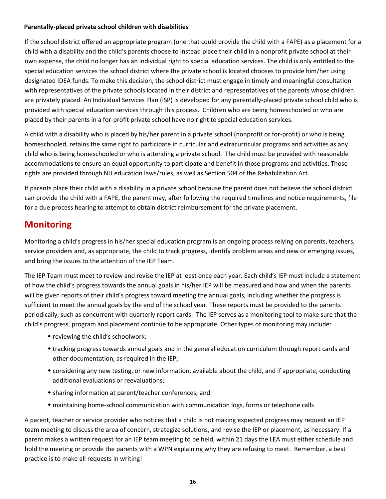#### **Parentally-placed private school children with disabilities**

If the school district offered an appropriate program (one that could provide the child with a FAPE) as a placement for a child with a disability and the child's parents choose to instead place their child in a nonprofit private school at their own expense, the child no longer has an individual right to special education services. The child is only entitled to the special education services the school district where the private school is located chooses to provide him/her using designated IDEA funds. To make this decision, the school district must engage in timely and meaningful consultation with representatives of the private schools located in their district and representatives of the parents whose children are privately placed. An Individual Services Plan (ISP) is developed for any parentally-placed private school child who is provided with special education services through this process. Children who are being homeschooled or who are placed by their parents in a for-profit private school have no right to special education services.

A child with a disability who is placed by his/her parent in a private school (nonprofit or for-profit) or who is being homeschooled, retains the same right to participate in curricular and extracurricular programs and activities as any child who is being homeschooled or who is attending a private school. The child must be provided with reasonable accommodations to ensure an equal opportunity to participate and benefit in those programs and activities. Those rights are provided through NH education laws/rules, as well as Section 504 of the Rehabilitation Act.

If parents place their child with a disability in a private school because the parent does not believe the school district can provide the child with a FAPE, the parent may, after following the required timelines and notice requirements, file for a due process hearing to attempt to obtain district reimbursement for the private placement.

## **Monitoring**

Monitoring a child's progress in his/her special education program is an ongoing process relying on parents, teachers, service providers and, as appropriate, the child to track progress, identify problem areas and new or emerging issues, and bring the issues to the attention of the IEP Team.

The IEP Team must meet to review and revise the IEP at least once each year. Each child's IEP must include a statement of how the child's progress towards the annual goals in his/her IEP will be measured and how and when the parents will be given reports of their child's progress toward meeting the annual goals, including whether the progress is sufficient to meet the annual goals by the end of the school year. These reports must be provided to the parents periodically, such as concurrent with quarterly report cards. The IEP serves as a monitoring tool to make sure that the child's progress, program and placement continue to be appropriate. Other types of monitoring may include:

- reviewing the child's schoolwork;
- tracking progress towards annual goals and in the general education curriculum through report cards and other documentation, as required in the IEP;
- considering any new testing, or new information, available about the child, and if appropriate, conducting additional evaluations or reevaluations;
- sharing information at parent/teacher conferences; and
- maintaining home-school communication with communication logs, forms or telephone calls

A parent, teacher or service provider who notices that a child is not making expected progress may request an IEP team meeting to discuss the area of concern, strategize solutions, and revise the IEP or placement, as necessary. If a parent makes a written request for an IEP team meeting to be held, within 21 days the LEA must either schedule and hold the meeting or provide the parents with a WPN explaining why they are refusing to meet. Remember, a best practice is to make all requests in writing!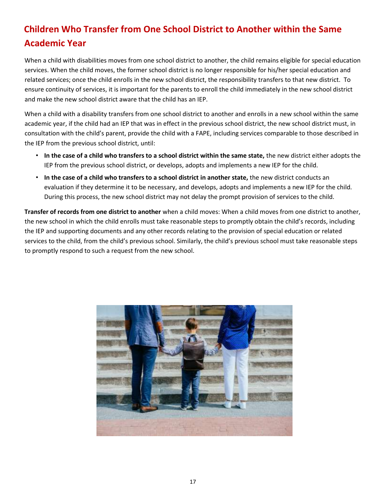# **Children Who Transfer from One School District to Another within the Same Academic Year**

When a child with disabilities moves from one school district to another, the child remains eligible for special education services. When the child moves, the former school district is no longer responsible for his/her special education and related services; once the child enrolls in the new school district, the responsibility transfers to that new district. To ensure continuity of services, it is important for the parents to enroll the child immediately in the new school district and make the new school district aware that the child has an IEP.

When a child with a disability transfers from one school district to another and enrolls in a new school within the same academic year, if the child had an IEP that was in effect in the previous school district, the new school district must, in consultation with the child's parent, provide the child with a FAPE, including services comparable to those described in the IEP from the previous school district, until:

- **In the case of a child who transfers to a school district within the same state,** the new district either adopts the IEP from the previous school district, or develops, adopts and implements a new IEP for the child.
- **In the case of a child who transfers to a school district in another state,** the new district conducts an evaluation if they determine it to be necessary, and develops, adopts and implements a new IEP for the child. During this process, the new school district may not delay the prompt provision of services to the child.

**Transfer of records from one district to another** when a child moves: When a child moves from one district to another, the new school in which the child enrolls must take reasonable steps to promptly obtain the child's records, including the IEP and supporting documents and any other records relating to the provision of special education or related services to the child, from the child's previous school. Similarly, the child's previous school must take reasonable steps to promptly respond to such a request from the new school.

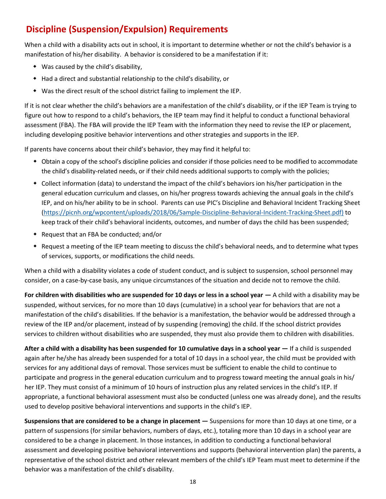# **Discipline (Suspension/Expulsion) Requirements**

When a child with a disability acts out in school, it is important to determine whether or not the child's behavior is a manifestation of his/her disability. A behavior is considered to be a manifestation if it:

- Was caused by the child's disability,
- Had a direct and substantial relationship to the child's disability, or
- Was the direct result of the school district failing to implement the IEP.

If it is not clear whether the child's behaviors are a manifestation of the child's disability, or if the IEP Team is trying to figure out how to respond to a child's behaviors, the IEP team may find it helpful to conduct a functional behavioral assessment (FBA). The FBA will provide the IEP Team with the information they need to revise the IEP or placement, including developing positive behavior interventions and other strategies and supports in the IEP.

If parents have concerns about their child's behavior, they may find it helpful to:

- Obtain a copy of the school's discipline policies and consider if those policies need to be modified to accommodate the child's disability-related needs, or if their child needs additional supports to comply with the policies;
- Collect information (data) to understand the impact of the child's behaviors ion his/her participation in the general education curriculum and classes, on his/her progress towards achieving the annual goals in the child's IEP, and on his/her ability to be in school. Parents can use PIC's Discipline and Behavioral Incident Tracking Sheet [\(https://picnh.org/wpcontent/uploads/2018/06/Sample-Discipline-Behavioral-Incident-Tracking-Sheet.pdf\)](https://picnh.org/wp-content/uploads/2018/06/Sample-Discipline-Behavioral-Incident-Tracking-Sheet.pdf) to keep track of their child's behavioral incidents, outcomes, and number of days the child has been suspended;
- Request that an FBA be conducted; and/or
- Request a meeting of the IEP team meeting to discuss the child's behavioral needs, and to determine what types of services, supports, or modifications the child needs.

When a child with a disability violates a code of student conduct, and is subject to suspension, school personnel may consider, on a case-by-case basis, any unique circumstances of the situation and decide not to remove the child.

**For children with disabilities who are suspended for 10 days or less in a school year**  $-$  **A child with a disability may be** suspended, without services, for no more than 10 days (cumulative) in a school year for behaviors that are not a manifestation of the child's disabilities. If the behavior is a manifestation, the behavior would be addressed through a review of the IEP and/or placement, instead of by suspending (removing) the child. If the school district provides services to children without disabilities who are suspended, they must also provide them to children with disabilities.

**After a child with a disability has been suspended for 10 cumulative days in a school year —** If a child is suspended again after he/she has already been suspended for a total of 10 days in a school year, the child must be provided with services for any additional days of removal. Those services must be sufficient to enable the child to continue to participate and progress in the general education curriculum and to progress toward meeting the annual goals in his/ her IEP. They must consist of a minimum of 10 hours of instruction plus any related services in the child's IEP. If appropriate, a functional behavioral assessment must also be conducted (unless one was already done), and the results used to develop positive behavioral interventions and supports in the child's IEP.

**Suspensions that are considered to be a change in placement —** Suspensions for more than 10 days at one time, or a pattern of suspensions (for similar behaviors, numbers of days, etc.), totaling more than 10 days in a school year are considered to be a change in placement. In those instances, in addition to conducting a functional behavioral assessment and developing positive behavioral interventions and supports (behavioral intervention plan) the parents, a representative of the school district and other relevant members of the child's IEP Team must meet to determine if the behavior was a manifestation of the child's disability.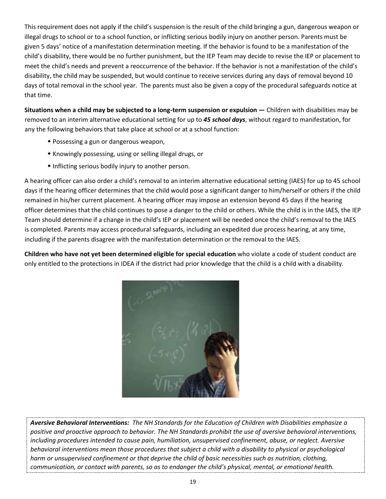This requirement does not apply if the child's suspension is the result of the child bringing a gun, dangerous weapon or illegal drugs to school or to a school function, or inflicting serious bodily injury on another person. Parents must be given 5 days' notice of a manifestation determination meeting. If the behavior is found to be a manifestation of the child's disability, there would be no further punishment, but the IEP Team may decide to revise the IEP or placement to meet the child's needs and prevent a reoccurrence of the behavior. If the behavior is not a manifestation of the child's disability, the child may be suspended, but would continue to receive services during any days of removal beyond 10 days of total removal in the school year. The parents must also be given a copy of the procedural safeguards notice at that time.

**Situations when a child may be subjected to a long-term suspension or expulsion — Children with disabilities may be** removed to an interim alternative educational setting for up to *45 school days*, without regard to manifestation, for any the following behaviors that take place at school or at a school function:

- Possessing a gun or dangerous weapon,
- Knowingly possessing, using or selling illegal drugs, or
- Inflicting serious bodily injury to another person.

A hearing officer can also order a child's removal to an interim alternative educational setting (IAES) for up to 45 school days if the hearing officer determines that the child would pose a significant danger to him/herself or others if the child remained in his/her current placement. A hearing officer may impose an extension beyond 45 days if the hearing officer determines that the child continues to pose a danger to the child or others. While the child is in the IAES, the IEP Team should determine if a change in the child's IEP or placement will be needed once the child's removal to the IAES is completed. Parents may access procedural safeguards, including an expedited due process hearing, at any time, including if the parents disagree with the manifestation determination or the removal to the IAES.

**Children who have not yet been determined eligible for special education** who violate a code of student conduct are only entitled to the protections in IDEA if the district had prior knowledge that the child is a child with a disability.



*Aversive Behavioral Interventions: The NH Standards for the Education of Children with Disabilities emphasize a positive and proactive approach to behavior. The NH Standards prohibit the use of aversive behavioral interventions, including procedures intended to cause pain, humiliation, unsupervised confinement, abuse, or neglect. Aversive behavioral interventions mean those procedures that subject a child with a disability to physical or psychological harm or unsupervised confinement or that deprive the child of basic necessities such as nutrition, clothing, communication, or contact with parents, so as to endanger the child's physical, mental, or emotional health.*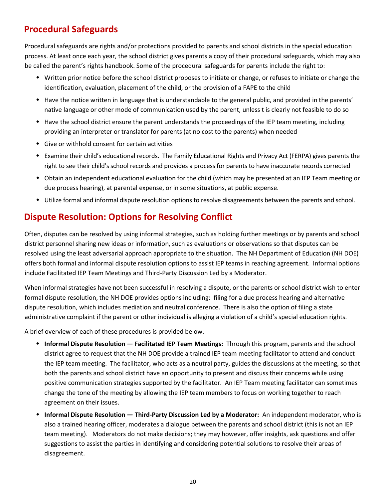# **Procedural Safeguards**

Procedural safeguards are rights and/or protections provided to parents and school districts in the special education process. At least once each year, the school district gives parents a copy of their procedural safeguards, which may also be called the parent's rights handbook. Some of the procedural safeguards for parents include the right to:

- Written prior notice before the school district proposes to initiate or change, or refuses to initiate or change the identification, evaluation, placement of the child, or the provision of a FAPE to the child
- Have the notice written in language that is understandable to the general public, and provided in the parents' native language or other mode of communication used by the parent, unless t is clearly not feasible to do so
- Have the school district ensure the parent understands the proceedings of the IEP team meeting, including providing an interpreter or translator for parents (at no cost to the parents) when needed
- Give or withhold consent for certain activities
- Examine their child's educational records. The Family Educational Rights and Privacy Act (FERPA) gives parents the right to see their child's school records and provides a process for parents to have inaccurate records corrected
- Obtain an independent educational evaluation for the child (which may be presented at an IEP Team meeting or due process hearing), at parental expense, or in some situations, at public expense.
- Utilize formal and informal dispute resolution options to resolve disagreements between the parents and school.

# **Dispute Resolution: Options for Resolving Conflict**

Often, disputes can be resolved by using informal strategies, such as holding further meetings or by parents and school district personnel sharing new ideas or information, such as evaluations or observations so that disputes can be resolved using the least adversarial approach appropriate to the situation. The NH Department of Education (NH DOE) offers both formal and informal dispute resolution options to assist IEP teams in reaching agreement. Informal options include Facilitated IEP Team Meetings and Third-Party Discussion Led by a Moderator.

When informal strategies have not been successful in resolving a dispute, or the parents or school district wish to enter formal dispute resolution, the NH DOE provides options including: filing for a due process hearing and alternative dispute resolution, which includes mediation and neutral conference. There is also the option of filing a state administrative complaint if the parent or other individual is alleging a violation of a child's special education rights.

A brief overview of each of these procedures is provided below.

- **Informal Dispute Resolution — Facilitated IEP Team Meetings:** Through this program, parents and the school district agree to request that the NH DOE provide a trained IEP team meeting facilitator to attend and conduct the IEP team meeting. The facilitator, who acts as a neutral party, guides the discussions at the meeting, so that both the parents and school district have an opportunity to present and discuss their concerns while using positive communication strategies supported by the facilitator. An IEP Team meeting facilitator can sometimes change the tone of the meeting by allowing the IEP team members to focus on working together to reach agreement on their issues.
- **Informal Dispute Resolution — Third-Party Discussion Led by a Moderator:** An independent moderator, who is also a trained hearing officer, moderates a dialogue between the parents and school district (this is not an IEP team meeting). Moderators do not make decisions; they may however, offer insights, ask questions and offer suggestions to assist the parties in identifying and considering potential solutions to resolve their areas of disagreement.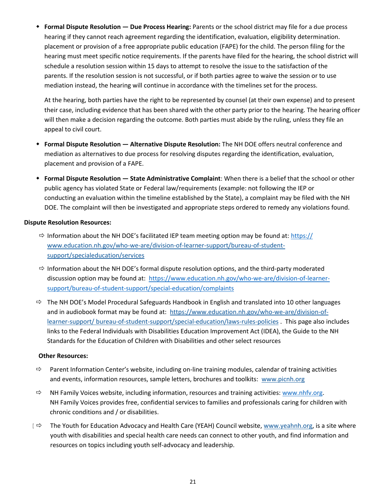**Formal Dispute Resolution — Due Process Hearing:** Parents or the school district may file for a due process hearing if they cannot reach agreement regarding the identification, evaluation, eligibility determination. placement or provision of a free appropriate public education (FAPE) for the child. The person filing for the hearing must meet specific notice requirements. If the parents have filed for the hearing, the school district will schedule a resolution session within 15 days to attempt to resolve the issue to the satisfaction of the parents. If the resolution session is not successful, or if both parties agree to waive the session or to use mediation instead, the hearing will continue in accordance with the timelines set for the process.

At the hearing, both parties have the right to be represented by counsel (at their own expense) and to present their case, including evidence that has been shared with the other party prior to the hearing. The hearing officer will then make a decision regarding the outcome. Both parties must abide by the ruling, unless they file an appeal to civil court.

- **Formal Dispute Resolution — Alternative Dispute Resolution:** The NH DOE offers neutral conference and mediation as alternatives to due process for resolving disputes regarding the identification, evaluation, placement and provision of a FAPE.
- **Formal Dispute Resolution — State Administrative Complaint**: When there is a belief that the school or other public agency has violated State or Federal law/requirements (example: not following the IEP or conducting an evaluation within the timeline established by the State), a complaint may be filed with the NH DOE. The complaint will then be investigated and appropriate steps ordered to remedy any violations found.

#### **Dispute Resolution Resources:**

- $\Rightarrow$  Information about the NH DOE's facilitated IEP team meeting option may be found at: https:// [www.education.nh.gov/who-we-are/division-of-learner-support/bureau-of-student](https://www.education.nh.gov/who-we-are/division-of-learner-support/bureau-of-student-support/special-education/services)[support/specialeducation/services](https://www.education.nh.gov/who-we-are/division-of-learner-support/bureau-of-student-support/special-education/services)
- $\Rightarrow$  Information about the NH DOE's formal dispute resolution options, and the third-party moderated discussion option may be found at: [https://www.education.nh.gov/who-we-are/division-of-learner](https://www.education.nh.gov/who-we-are/division-of-learner-support/bureau-of-student-support/special-education/complaints)[support/bureau-of-student-support/special-education/complaints](https://www.education.nh.gov/who-we-are/division-of-learner-support/bureau-of-student-support/special-education/complaints)
- Standards for the Education of Children with Disabilities and other select resources  $\Rightarrow$  The NH DOE's Model Procedural Safeguards Handbook in English and translated into 10 other languages and in audiobook format may be found at: [https://www.education.nh.gov/who-we-are/division-of](https://www.education.nh.gov/who-we-are/division-of-learner-support/bureau-of-student-support/special-education/laws-rules-policies)[learner-support/ bureau-of-student-support/special-education/laws-rules-policies](https://www.education.nh.gov/who-we-are/division-of-learner-support/bureau-of-student-support/special-education/laws-rules-policies) [.](https://www.education.nh.gov/who-we-are/division-of-learner-support/bureau-of-student-support/special-education/laws-rules-policies) This page also includes links to the Federal Individuals with Disabilities Education Improvement Act (IDEA), the Guide to the NH

#### **Other Resources:**

- $\Rightarrow$  Parent Information Center's website, including on-line training modules, calendar of training activities and events, information resources, sample letters, brochures and toolkits: [www.picnh.org](http://www.picnh.org/)
- $\Rightarrow$  NH Family Voices website, including information, resources and training activities: www.nhfv.org. NH Family Voices provides free, confidential services to families and professionals caring for children with chronic conditions and / or disabilities.
- [  $\Leftrightarrow$  The Youth for Education Advocacy and Health Care (YEAH) Council website, [www.yeahnh.org, i](http://www.yeahnh.org/)s a site where youth with disabilities and special health care needs can connect to other youth, and find information and resources on topics including youth self-advocacy and leadership.